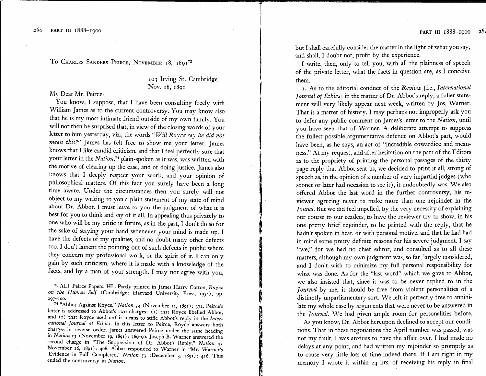TO CHARLES SANDERS PEIRCE, NOVEMBER 18, 189173

103 Irving St. Cambridge. Nov. 18, 1891

My Dear Mr. Peirce:-

You know, I suppose, that I have been consulting freely with William James as to the current controversy. You may know also that he is my most intimate friend outside of my own family. You will not then be surprised that, in view of the closing words of your letter to him yesterday, viz., the words "Will Royce say he did not mean this?" James has felt free to show me your letter. James knows that I like candid criticism, and that I feel perfectly sure that your letter in the Nation,<sup>74</sup> plain-spoken as it was, was written with the motive of clearing up the case, and of doing justice. James also knows that I deeply respect your work, and your opinion of philosophical matters. Of this fact you surely have been a long time aware. Under the circumstances then you surely will not object to my writing to you a plain statement of my state of mind about Dr. Abbot. I must leave to you the judgment of what it is best for you to think and say of it all. In appealing thus privately to one who will be my critic in future, as in the past, I don't do so for the sake of staying your hand whenever your mind is made up. I have the defects of my qualities, and no doubt many other defects too. I don't lament the pointing out of such defects in public where they concern my professional work, or the spirit of it. I can only gain by such criticism, where it is made with a knowledge of the facts, and by a man of your strength. I may not agree with you,

73 ALI. Peirce Papers. HL. Partly printed in James Harry Cotton, Royce on the Human Self (Cambridge: Harvard University Press, 1954), pp. 297-300.

74 "Abbot Against Royce," Nation 53 (November 12, 1891): 372. Peirce's letter is addressed to Abbot's two charges: (1) that Royce libelled Abbot, and (2) that Royce used unfair means to stifle Abbot's reply in the International Journal of Ethics. In this letter to Peirce, Royce answers both charges in reverse order. James answered Peirce under the same heading in Nation 53 (November 19, 1891): 389-90. Joseph B. Warner answered the second charge in "The Suppression of Dr. Abbot's Reply," Nation 53 November 26, 1891): 408. Abbot responded to Warner in "Mr. Warner's 'Evidence in Full' Completed," Nation 53 (December 3, 1891): 426. This ended the controversy in Nation.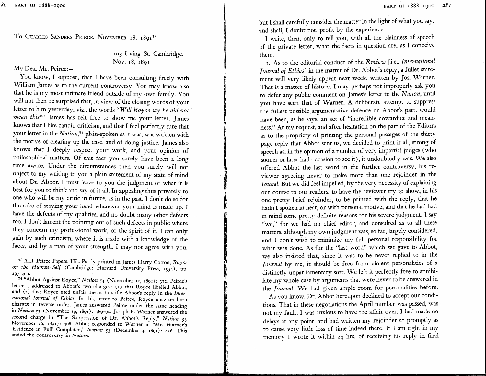but I shall carefully consider the matter in the light of what you say, and shall, I doubt not, profit by the experience.

I write, then, only to tell you, with all the plainness of speech of the private letter, what the facts in question are, as I conceive them.

I. As to the editorial conduct of the Review [i.e., International Journal of Ethics] in the matter of Dr. Abbot's reply, a fuller statement will very likely appear next week, written by Jos. Warner. That is a matter of history. I may perhaps not improperly ask you to defer any public comment on James's letter to the Nation, until you have seen that of Warner. A deliberate attempt to suppress the fullest possible argumentative defence on Abbot's part, would have been, as he says, an act of "incredible cowardice and meanness." At my request, and after hesitation on the part of the Editors as to the propriety of printing the personal passages of the thirty page reply that Abbot sent us, we decided to print it all, strong of speech as, in the opinion of a number of very impartial judges (who sooner or later had occasion to see it), it undoubtedly was. We also offered Abbot the last word in the further controversy, his reviewer agreeing never to make more than one rejoinder in the Jounal. But we did feel impelled, by the very necessity of explaining our course to our readers, to have the reviewer try to show, in his one pretty brief rejoinder, to be printed with the reply, that he hadn't spoken in heat, or with personal motive, and that he had had in mind some pretty definite reasons for his severe judgment. I say "we," for we had no chief editor, and consulted as to all these matters, although my own judgment was, so far, largely considered, and I don't wish to minimize my full personal responsibility for what was done. As for the "last word" which we gave to Abbot, we also insisted that, since it was to be never replied to in the Journal by me, it should be free from violent personalities of a distinctly unparliamentary sort. We left it perfectly free to annihilate my whole case by arguments that were never to be answered in the Journal. We had given ample room for personalities before.

As you know, Dr. Abbot hereupon declined to accept our conditions. That in these negotiations the April number was passed, was not my fault. I was anxious to have the affair over. I had made no delays at any point, and had written my rejoinder so promptly as to cause very little loss of time indeed there. If I am right in my memory I wrote it within 24 hrs. of receiving his reply in final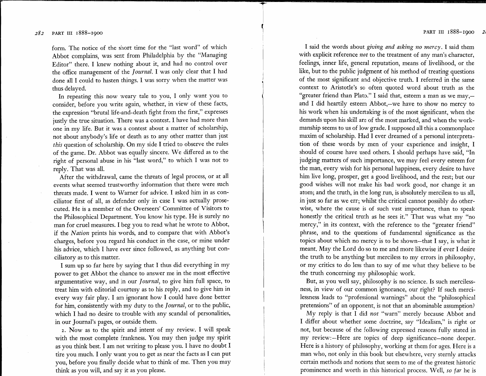form. The notice of the short time for the "last word" of which Abbot complains, was sent from Philadelphia by the "Managing Editor" there. I knew nothing about it, and had no control over the office management of the Journal. I was only clear that I had done all I could to hasten things. I was sorry when the matter was thus delayed.

In repeating this now weary tale to you, I only want you to consider, before you write again, whether, in view of these facts, the expression "brutal life-and-death fight from the first," expresses justly the true situation. There was a contest. I have had more than one in my life. But it was a contest about a matter of scholarship, not about anybody's life or death as to any other matter than just this question of scholarship. On my side I tried to observe the rules of the game. Dr. Abbot was equally sincere. We differed as to the right of personal abuse in his "last word," to which I was not to reply. That was all.

After the withdrawal, came the threats of legal process, or at all events what seemed trustworthy information that there were such threats made. I went to Warner for advice. I asked him in as conciliator first of all, as defender only in case I was actually prosecuted. He is a member of the Overseers' Committee of Visitors to the Philosophical Department. You know his type. He is surely no man for cruel measures. I beg you to read what he wrote to Abbot, if the Nation prints his words, and to compare that with Abbot's charges, before you regard his conduct in the case, or mine under his advice, which I have ever since followed, as anything but conciliatory as to this matter.

I sum up so far here by saying that I thus did everything in my power to get Abbot the chance to answer me in the most effective argumentative way, and in our Journal, to give him full space, to treat him with editorial courtesy as to his reply, and to give him in every way fair play. I am ignorant how I could have done better for him, consistently with my duty to the Journal, or to the public, which I had no desire to trouble with any scandal of personalities, in our Journal's pages, or outside them.

2. Now as to the spirit and intent of my review. I will speak with the most complete frankness. You may then judge my spirit as you think best. I am not writing to please you. I have no doubt I tire you much. I only want you to get as near the facts as I can put you, before you finally decide what to think of me. Then you may think as you will, and say it as you please.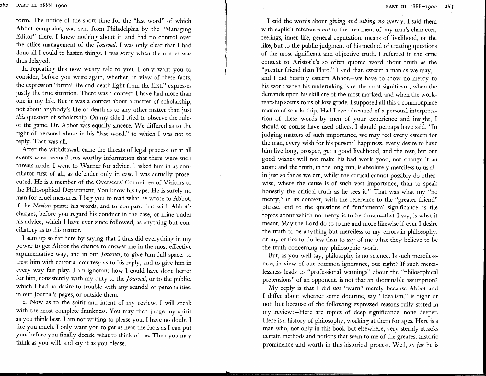I said the words about giving and asking no mercy. I said them with explicit reference not to the treatment of any man's character, feelings, inner life, general reputation, means of livelihood, or the like, but to the public judgment of his method of treating questions of the most significant and objective truth. I referred in the same<br>context to Aristotle's so often quoted word about truth as the<br>"greater friend than Plato." I said that, esteem a man as we may,and I did heartily esteem Abbot,—we have to show no mercy to his work when his undertaking is of the most significant, when the demands upon his skill are of the most marked, and when the workmanship seems to us of low grade. I supposed all this a commonplace<br>maxim of scholarship. Had I ever dreamed of a personal interpreta-<br>tion of these words by men of your experience and insight, I should of course have used others. I should perhaps have said, "In judging matters of such importance, we may feel every esteem for the man, every wish for his personal happiness, every desire to have him live long, prosper, get a good livelihood, and the rest; but our good wishes will not make his bad work good, nor change it an atom; and the truth, in the long run, is absolutely merciless to us all, in just so far as we err; whilst the critical cannot possibly do otherwise, where the cause is of such vast importance, than to speak<br>honestly the critical truth as he sees it." That was what my "no moreover," in its context, with the reference to the "greater friend"<br>phrase, and to the questions of fundamental significance as the<br>topics about which no mercy is to be shown—that I say, is what it<br>meant. May the Lord do the truth to be anything but merciless to my errors in philosophy, or my critics to do less than to say of me what they believe to be the truth concerning my philosophic work.

the truth concerning my philosophic work.<br>But, as you well say, philosophy is no science. Is such merciless-<br>ness, in view of our common ignorance, our right? If such merci-<br>lessness leads to "professional warnings" about

not, but because of the following expressed reasons fully stated in<br>my review:-Here are topics of deep significance-none deeper. Here is a history of philosophy, working at them for ages. Here is a<br>man who, not only in this book but elsewhere, very sternly attacks certain methods and notions that seem to me of the greatest historic prominence and worth in this historical process. Well, so far he is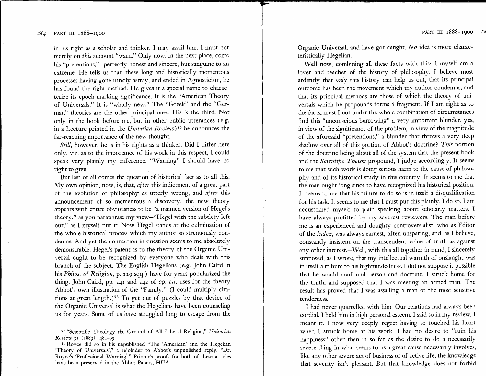in his right as a scholar and thinker. I may assail him. I must not merely on this account "warn." Only now, in the next place, come his "pretentions,"--perfectly honest and sincere, but sanguine to an extreme. He tells us that, these long and historically momentous processes having gone utterly astray, and ended in Agnosticism, he has found the right method. He gives it a special name to characterize its epoch-marking significance. It is the "American Theory of Universals." It is "wholly new." The "Greek" and the "German" theories are the other principal ones. His is the third. Not only in the book before me, but in other public utterances (e.g. in a Lecture printed in the Unitarian Review)<sup>75</sup> he announces the far-reaching importance of the new thought.

Still, however, he is in his rights as a thinker. Did I differ here only, viz, as to the importance of his work in this respect, I could speak very plainly my difference. "Warning" I should have no right to give.

But last of all comes the question of historical fact as to all this. My own opinion, now, is, that, after this indictment of a great part of the evolution of philosophy as utterly wrong, and after this announcement of so momentous a discovery, the new theory appears with entire obviousness to be "a maimed version of Hegel's theory," as you paraphrase my view—"Hegel with the subtlety left out," as I myself put it. Now Hegel stands at the culmination of the whole historical process which my author so strenuously condemns. And yet the connection in question seems to me absolutely demonstrable. Hegel's patent as to the theory of the Organic Universal ought to be recognized by everyone who deals with this branch of the subject. The English Hegelians (e.g. John Caird in his Philos. of Religion, p. 229 sqq.) have for years popularized the thing. John Caird, pp. 241 and 242 of op. cit. uses for the theory Abbot's own illustration of the "Family." (I could multiply citations at great length.)<sup>76</sup> To get out of puzzles by that device of the Organic Universal is what the Hegelians have been counseling us for years. Some of us have struggled long to escape from the

<sup>75 &</sup>quot;Scientific Theology the Ground of All Liberal Religion," Unitarian  $Review 32 (1889): 481-99.$ 

<sup>76</sup> Royce did so in his unpublished "The 'American' and the Hegelian 'Theory of Universals'," a rejoinder to Abbot's unpublished reply, "Dr. Royce's 'Professional Warning'." Printer's proofs for both of these articles have been preserved in the Abbot Papers, HUA.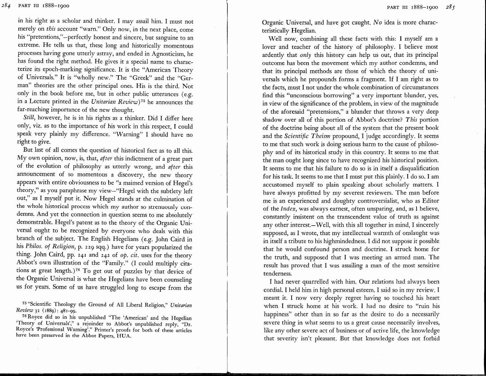Organic Universal, and have got caught. No idea is more characteristically Hegelian.

Well now, combining all these facts with this: I myself am a lover and teacher of the history of philosophy. I believe most ardently that only this history can help us out, that its principal outcome has been the movement which my author condemns, and that its principal methods are those of which the theory of universals which he propounds forms a fragment. If I am right as to the facts, must I not under the whole combination of circumstances find this "unconscious borrowing" a very important blunder, yes, in view of the significance of the problem, in view of the magnitude of the aforesaid "pretensions," a blunder that throws a very deep shadow over all of this portion of Abbot's doctrine? This portion of the doctrine being about all of the system that the present book and the Scientific Theism propound, I judge accordingly. It seems to me that such work is doing serious harm to the cause of philosophy and of its historical study in this country. It seems to me that the man ought long since to have recognized his historical position. It seems to me that his failure to do so is in itself a disqualification for his task. It seems to me that I must put this plainly. I do so. I am accustomed myself to plain speaking about scholarly matters. I have always profitted by my severest reviewers. The man before me is an experienced and doughty controversialist, who as Editor of the Index, was always earnest, often unsparing, and, as I believe, constantly insistent on the transcendent value of truth as against any other interest.-Well, with this all together in mind, I sincerely supposed, as I wrote, that my intellectual warmth of onslaught was in itself a tribute to his highmindedness. I did not suppose it possible that he would confound person and doctrine. I struck home for the truth, and supposed that I was meeting an armed man. The result has proved that I was assailing a man of the most sensitive tenderness.

I had never quarrelled with him. Our relations had always been cordial. I held him in high personal esteem. I said so in my review. I meant it. I now very deeply regret having so touched his heart when I struck home at his work. I had no desire to "ruin his happiness" other than in so far as the desire to do a necessarily severe thing in what seems to us a great cause necessarily involves, like any other severe act of business or of active life, the knowledge that severity isn't pleasant. But that knowledge does not forbid